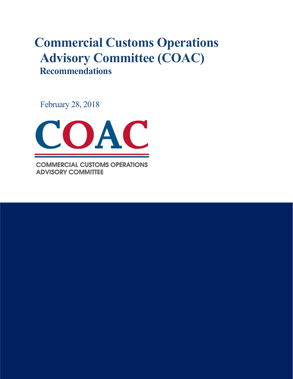# **Commercial Customs Operations Advisory Committee (COAC) Recommendations**

February 28, 2018



**COMMERCIAL CUSTOMS OPERATIONS ADVISORY COMMITTEE**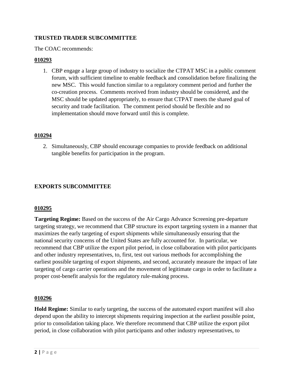## **TRUSTED TRADER SUBCOMMITTEE**

The COAC recommends:

### **010293**

1. CBP engage a large group of industry to socialize the CTPAT MSC in a public comment forum, with sufficient timeline to enable feedback and consolidation before finalizing the new MSC. This would function similar to a regulatory comment period and further the co-creation process. Comments received from industry should be considered, and the MSC should be updated appropriately, to ensure that CTPAT meets the shared goal of security and trade facilitation. The comment period should be flexible and no implementation should move forward until this is complete.

#### **010294**

2. Simultaneously, CBP should encourage companies to provide feedback on additional tangible benefits for participation in the program.

## **EXPORTS SUBCOMMITTEE**

#### **010295**

**Targeting Regime:** Based on the success of the Air Cargo Advance Screening pre-departure targeting strategy, we recommend that CBP structure its export targeting system in a manner that maximizes the early targeting of export shipments while simultaneously ensuring that the national security concerns of the United States are fully accounted for. In particular, we recommend that CBP utilize the export pilot period, in close collaboration with pilot participants and other industry representatives, to, first, test out various methods for accomplishing the earliest possible targeting of export shipments, and second, accurately measure the impact of late targeting of cargo carrier operations and the movement of legitimate cargo in order to facilitate a proper cost-benefit analysis for the regulatory rule-making process.

#### **010296**

**Hold Regime:** Similar to early targeting, the success of the automated export manifest will also depend upon the ability to intercept shipments requiring inspection at the earliest possible point, prior to consolidation taking place. We therefore recommend that CBP utilize the export pilot period, in close collaboration with pilot participants and other industry representatives, to